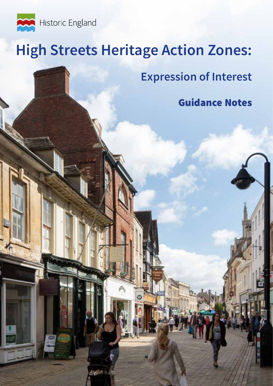

OLET

# **High Streets Heritage Action Zones:**

**Expression of Interest**

Guidance Notes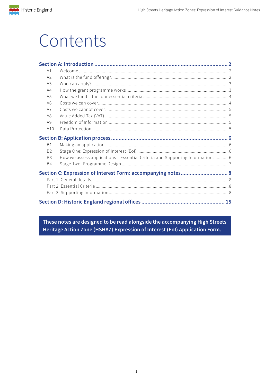# Contents

| A1             |                                                                               |  |
|----------------|-------------------------------------------------------------------------------|--|
| A2             |                                                                               |  |
| A3             |                                                                               |  |
| A4             |                                                                               |  |
| A5             |                                                                               |  |
| A <sub>6</sub> |                                                                               |  |
| A7             |                                                                               |  |
| A8             |                                                                               |  |
| A9             |                                                                               |  |
| A10            |                                                                               |  |
|                |                                                                               |  |
|                |                                                                               |  |
| <b>B1</b>      |                                                                               |  |
| <b>B2</b>      |                                                                               |  |
| B <sub>3</sub> | How we assess applications - Essential Criteria and Supporting Information  6 |  |
| <b>B4</b>      |                                                                               |  |
|                | Section C: Expression of Interest Form: accompanying notes 8                  |  |
|                |                                                                               |  |
|                |                                                                               |  |
|                |                                                                               |  |

These notes are designed to be read alongside the accompanying High Streets Heritage Action Zone (HSHAZ) Expression of Interest (EoI) Application Form.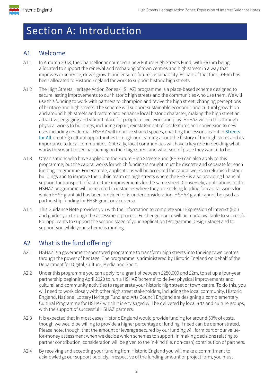<span id="page-2-0"></span>

# Section A: Introduction

# A1 Welcome

- A1.1 In Autumn 2018, the Chancellor announced a new Future High Streets Fund, with £675m being allocated to support the renewal and reshaping of town centres and high streets in a way that improves experience, drives growth and ensures future sustainability. As part of that fund, £40m has been allocated to Historic England for work to support historic high streets.
- A1.2 The High Streets Heritage Action Zones (HSHAZ) programme is a place-based scheme designed to secure lasting improvements to our historic high streets and the communities who use them. We will use this funding to work with partners to champion and revive the high street, changing perceptions of heritage and high streets. The scheme will support sustainable economic and cultural growth on and around high streets and restore and enhance local historic character, making the high street an attractive, engaging and vibrant place for people to live, work and play. HSHAZ will do this through physical works to buildings, including repair, reinstatement of lost features and conversion to new uses including residential. HSHAZ will improve shared spaces, enacting the lessons learnt in Streets [for All](https://historicengland.org.uk/images-books/publications/streets-for-all/heag149-sfa-national/), creating cultural opportunities through our learning about the history of the high street and its importance to local communities. Critically, local communities will have a key role in deciding what works they want to see happening on their high street and what sort of place they want it to be.
- A1.3 Organisations who have applied to the Future High Streets Fund (FHSF) can also apply to this programme, but the capital works for which funding is sought must be discrete and separate for each funding programme. For example, applications will be accepted for capital works to refurbish historic buildings and to improve the public realm on high streets where the FHSF is also providing financial support for transport infrastructure improvements for the same street. Conversely, applications to the HSHAZ programme will be rejected in instances where they are seeking funding for capital works for which FHSF grant aid has been provided or is under consideration. HSHAZ grant cannot be used as partnership funding for FHSF grant or vice versa.
- A1.4 This Guidance Note provides you with the information to complete your Expression of Interest (EoI) and guides you through the assessment process. Further guidance will be made available to successful EoI applicants to support the second stage of your application (Programme Design Stage) and to support you while your scheme is running.

# A2 What is the fund offering?

- A2.1 HSHAZ is a government-sponsored programme to transform high streets into thriving town centres through the power of heritage. The programme is administered by Historic England on behalf of the Department for Digital, Culture, Media and Sport.
- A2.2 Under this programme you can apply for a grant of between £250,000 and £2m, to set up a four-year partnership beginning April 2020 to run a HSHAZ 'scheme' to deliver physical improvements and cultural and community activities to regenerate your historic high street or town centre. To do this, you will need to work closely with other high street stakeholders, including the local community. Historic England, National Lottery Heritage Fund and Arts Council England are designing a complementary Cultural Programme for HSHAZ which it is envisaged will be delivered by local arts and culture groups, with the support of successful HSHAZ partners.
- A2.3 It is expected that in most cases Historic England would provide funding for around 50% of costs, though we would be willing to provide a higher percentage of funding if need can be demonstrated. Please note, though, that the amount of leverage secured by our funding will form part of our valuefor-money assessment when we decide which schemes to support. In making decisions relating to partner contribution, consideration will be given to the in-kind (i.e. non-cash) contribution of partners.
- A2.4 By receiving and accepting your funding from Historic England you will make a commitment to acknowledge our support publicly. Irrespective of the funding amount or project form, you must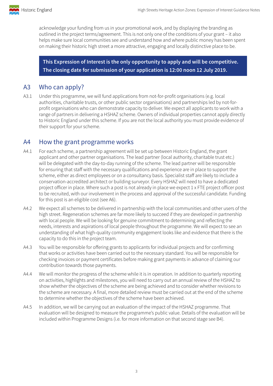<span id="page-3-0"></span>

acknowledge your funding from us in your promotional work, and by displaying the branding as outlined in the project terms/agreement. This is not only one of the conditions of your grant – it also helps make sure local communities see and understand how and where public money has been spent on making their historic high street a more attractive, engaging and locally distinctive place to be.

**This Expression of Interest is the only opportunity to apply and will be competitive. The closing date for submission of your application is 12:00 noon 12 July 2019.**

### A3 Who can apply?

A3.1 Under this programme, we will fund applications from not-for-profit organisations (e.g. local authorities, charitable trusts, or other public sector organisations) and partnerships led by not-forprofit organisations who can demonstrate capacity to deliver. We expect all applicants to work with a range of partners in delivering a HSHAZ scheme. Owners of individual properties cannot apply directly to Historic England under this scheme. If you are not the local authority you must provide evidence of their support for your scheme.

### A4 How the grant programme works

- A4.1 For each scheme, a partnership agreement will be set up between Historic England, the grant applicant and other partner organisations. The lead partner (local authority, charitable trust etc.) will be delegated with the day-to-day running of the scheme. The lead partner will be responsible for ensuring that staff with the necessary qualifications and experience are in place to support the scheme, either as direct employees or on a consultancy basis. Specialist staff are likely to include a conservation-accredited architect or building surveyor. Every HSHAZ will need to have a dedicated project officer in place. Where such a post is not already in place we expect 1 x FTE project officer post to be recruited, with our involvement in the process and approval of the successful candidate. Funding for this post is an eligible cost (see A6).
- A4.2 We expect all schemes to be delivered in partnership with the local communities and other users of the high street. Regeneration schemes are far more likely to succeed if they are developed in partnership with local people. We will be looking for genuine commitment to determining and reflecting the needs, interests and aspirations of local people throughout the programme. We will expect to see an understanding of what high-quality community engagement looks like and evidence that there is the capacity to do this in the project team.
- A4.3 You will be responsible for offering grants to applicants for individual projects and for confirming that works or activities have been carried out to the necessary standard. You will be responsible for checking invoices or payment certificates before making grant payments in advance of claiming our contribution towards those payments.
- A4.4 We will monitor the progress of the scheme while it is in operation. In addition to quarterly reporting on activities, highlights and milestones, you will need to carry out an annual review of the HSHAZ to show whether the objectives of the scheme are being achieved and to consider whether revisions to the scheme are necessary. A final, more detailed review must be carried out at the end of the scheme to determine whether the objectives of the scheme have been achieved.
- A4.5 In addition, we will be carrying out an evaluation of the impact of the HSHAZ programme. That evaluation will be designed to measure the programme's public value. Details of the evaluation will be included within Programme Designs (i.e. for more information on that second stage see B4).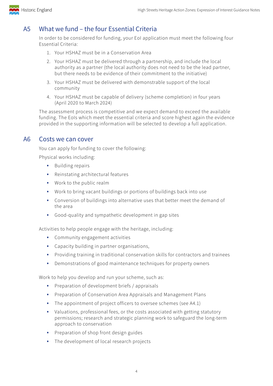<span id="page-4-0"></span>

# A5 What we fund – the four Essential Criteria

In order to be considered for funding, your EoI application must meet the following four Essential Criteria:

- 1. Your HSHAZ must be in a Conservation Area
- 2. Your HSHAZ must be delivered through a partnership, and include the local authority as a partner (the local authority does not need to be the lead partner, but there needs to be evidence of their commitment to the initiative)
- 3. Your HSHAZ must be delivered with demonstrable support of the local community
- 4. Your HSHAZ must be capable of delivery (scheme completion) in four years (April 2020 to March 2024)

The assessment process is competitive and we expect demand to exceed the available funding. The EoIs which meet the essential criteria and score highest again the evidence provided in the supporting information will be selected to develop a full application.

#### A6 Costs we can cover

You can apply for funding to cover the following:

Physical works including:

- Building repairs
- Reinstating architectural features
- Work to the public realm
- Work to bring vacant buildings or portions of buildings back into use
- Conversion of buildings into alternative uses that better meet the demand of the area
- Good-quality and sympathetic development in gap sites

Activities to help people engage with the heritage, including:

- Community engagement activities
- Capacity building in partner organisations,
- Providing training in traditional conservation skills for contractors and trainees
- Demonstrations of good maintenance techniques for property owners

Work to help you develop and run your scheme, such as:

- Preparation of development briefs / appraisals
- Preparation of Conservation Area Appraisals and Management Plans
- The appointment of project officers to oversee schemes (see A4.1)
- Valuations, professional fees, or the costs associated with getting statutory permissions; research and strategic planning work to safeguard the long-term approach to conservation
- Preparation of shop front design guides
- The development of local research projects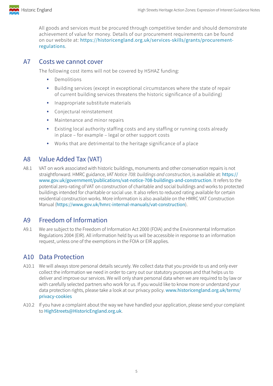<span id="page-5-0"></span>

All goods and services must be procured through competitive tender and should demonstrate achievement of value for money. Details of our procurement requirements can be found on our website at: [https://historicengland.org.uk/services-skills/grants/procurement](https://historicengland.org.uk/services-skills/grants/procurement-regulations)[regulations](https://historicengland.org.uk/services-skills/grants/procurement-regulations).

# A7 Costs we cannot cover

The following cost items will not be covered by HSHAZ funding:

- Demolitions
- Building services (except in exceptional circumstances where the state of repair of current building services threatens the historic significance of a building)
- Inappropriate substitute materials
- Conjectural reinstatement
- Maintenance and minor repairs
- Existing local authority staffing costs and any staffing or running costs already in place – for example – legal or other support costs
- Works that are detrimental to the heritage significance of a place

# A8 Value Added Tax (VAT)

A8.1 VAT on work associated with historic buildings, monuments and other conservation repairs is not straightforward. HMRC guidance, *VAT Notice 708: buildings and construction*, is available at: [https://](https://www.gov.uk/government/publications/vat-notice-708-buildings-and-construction) [www.gov.uk/government/publications/vat-notice-708-buildings-and-construction](https://www.gov.uk/government/publications/vat-notice-708-buildings-and-construction). It refers to the potential zero-rating of VAT on construction of charitable and social buildings and works to protected buildings intended for charitable or social use. It also refers to reduced rating available for certain residential construction works. More information is also available on the HMRC VAT Construction Manual (<https://www.gov.uk/hmrc-internal-manuals/vat-construction>).

# A9 Freedom of Information

A9.1 We are subject to the Freedom of Information Act 2000 (FOIA) and the Environmental Information Regulations 2004 (EIR). All information held by us will be accessible in response to an information request, unless one of the exemptions in the FOIA or EIR applies.

# A10 Data Protection

- A10.1 We will always store personal details securely. We collect data that you provide to us and only ever collect the information we need in order to carry out our statutory purposes and that helps us to deliver and improve our services. We will only share personal data when we are required to by law or with carefully selected partners who work for us. If you would like to know more or understand your data protection rights, please take a look at our privacy policy. [www.historicengland.org.uk/terms/](https://www.historicengland.org.uk/terms/privacy-cookies/) [privacy-cookies](https://www.historicengland.org.uk/terms/privacy-cookies/)
- A10.2 If you have a complaint about the way we have handled your application, please send your complaint to [HighStreets@HistoricEngland.org.uk](mailto:HighStreets%40HistoricEngland.org.uk?subject=).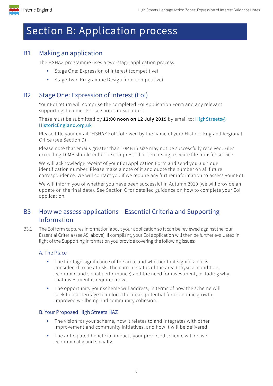<span id="page-6-0"></span>

# Section B: Application process

# B1 Making an application

The HSHAZ programme uses a two-stage application process:

- Stage One: Expression of Interest (competitive)
- Stage Two: Programme Design (non-competitive)

## B2 Stage One: Expression of Interest (EoI)

Your EoI return will comprise the completed EoI Application Form and any relevant supporting documents – see notes in Section C.

These must be submitted by **12:00 noon on 12 July 2019** by email to: [HighStreets@](mailto:Highstreets@HistoricEngland.org.uk) [HistoricEngland.org.uk](mailto:Highstreets@HistoricEngland.org.uk)

Please title your email "HSHAZ EoI" followed by the name of your Historic England Regional Office (see Section D).

Please note that emails greater than 10MB in size may not be successfully received. Files exceeding 10MB should either be compressed or sent using a secure file transfer service.

We will acknowledge receipt of your EoI Application Form and send you a unique identification number. Please make a note of it and quote the number on all future correspondence. We will contact you if we require any further information to assess your EoI.

We will inform you of whether you have been successful in Autumn 2019 (we will provide an update on the final date). See Section C for detailed guidance on how to complete your EoI application.

# B3 How we assess applications – Essential Criteria and Supporting Information

B3.1 The EoI form captures information about your application so it can be reviewed against the four Essential Criteria (see A5, above). If compliant, your EoI application will then be further evaluated in light of the Supporting Information you provide covering the following issues:

#### A. The Place

- The heritage significance of the area, and whether that significance is considered to be at risk. The current status of the area (physical condition, economic and social performance) and the need for investment, including why that investment is required now.
- The opportunity your scheme will address, in terms of how the scheme will seek to use heritage to unlock the area's potential for economic growth, improved wellbeing and community cohesion.

#### B. Your Proposed High Streets HAZ

- The vision for your scheme, how it relates to and integrates with other improvement and community initiatives, and how it will be delivered.
- The anticipated beneficial impacts your proposed scheme will deliver economically and socially.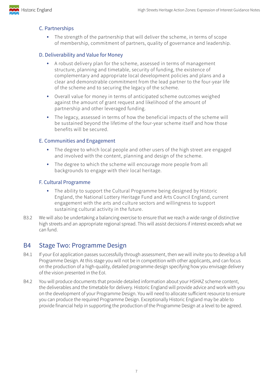<span id="page-7-0"></span>

#### C. Partnerships

The strength of the partnership that will deliver the scheme, in terms of scope of membership, commitment of partners, quality of governance and leadership.

#### D. Deliverability and Value for Money

- A robust delivery plan for the scheme, assessed in terms of management structure, planning and timetable, security of funding, the existence of complementary and appropriate local development policies and plans and a clear and demonstrable commitment from the lead partner to the four-year life of the scheme and to securing the legacy of the scheme.
- Overall value for money in terms of anticipated scheme outcomes weighed against the amount of grant request and likelihood of the amount of partnership and other leveraged funding.
- The legacy, assessed in terms of how the beneficial impacts of the scheme will be sustained beyond the lifetime of the four-year scheme itself and how those benefits will be secured.

#### E. Communities and Engagement

- The degree to which local people and other users of the high street are engaged and involved with the content, planning and design of the scheme.
- The degree to which the scheme will encourage more people from all backgrounds to engage with their local heritage.

#### F. Cultural Programme

- The ability to support the Cultural Programme being designed by Historic England, the National Lottery Heritage Fund and Arts Council England, current engagement with the arts and culture sectors and willingness to support sustaining cultural activity in the future.
- B3.2 We will also be undertaking a balancing exercise to ensure that we reach a wide range of distinctive high streets and an appropriate regional spread. This will assist decisions if interest exceeds what we can fund.

# B4 Stage Two: Programme Design

- B4.1 If your EoI application passes successfully through assessment, then we will invite you to develop a full Programme Design. At this stage you will not be in competition with other applicants, and can focus on the production of a high-quality, detailed programme design specifying how you envisage delivery of the vision presented in the EoI.
- B4.2 You will produce documents that provide detailed information about your HSHAZ scheme content, the deliverables and the timetable for delivery. Historic England will provide advice and work with you on the development of your Programme Design. You will need to allocate sufficient resource to ensure you can produce the required Programme Design. Exceptionally Historic England may be able to provide financial help in supporting the production of the Programme Design at a level to be agreed.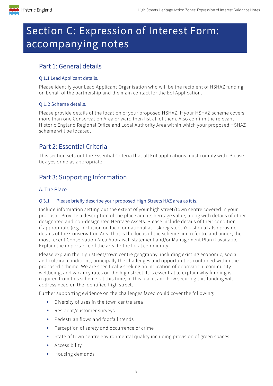<span id="page-8-0"></span>

# Section C: Expression of Interest Form: accompanying notes

# Part 1: General details

## Q 1.1 Lead Applicant details.

Please identify your Lead Applicant Organisation who will be the recipient of HSHAZ funding on behalf of the partnership and the main contact for the EoI Application.

# Q 1.2 Scheme details.

Please provide details of the location of your proposed HSHAZ. If your HSHAZ scheme covers more than one Conservation Area or ward then list all of them. Also confirm the relevant Historic England Regional Office and Local Authority Area within which your proposed HSHAZ scheme will be located.

# Part 2: Essential Criteria

This section sets out the Essential Criteria that all EoI applications must comply with. Please tick yes or no as appropriate.

# Part 3: Supporting Information

# A. The Place

# Q 3.1 Please briefly describe your proposed High Streets HAZ area as it is.

Include information setting out the extent of your high street/town centre covered in your proposal. Provide a description of the place and its heritage value, along with details of other designated and non-designated Heritage Assets. Please include details of their condition if appropriate (e.g. inclusion on local or national at risk register). You should also provide details of the Conservation Area that is the focus of the scheme and refer to, and annex, the most recent Conservation Area Appraisal, statement and/or Management Plan if available. Explain the importance of the area to the local community.

Please explain the high street/town centre geography, including existing economic, social and cultural conditions, principally the challenges and opportunities contained within the proposed scheme. We are specifically seeking an indication of deprivation, community wellbeing, and vacancy rates on the high street. It is essential to explain why funding is required from this scheme, at this time, in this place, and how securing this funding will address need on the identified high street.

Further supporting evidence on the challenges faced could cover the following:

- Diversity of uses in the town centre area
- Resident/customer surveys
- Pedestrian flows and footfall trends
- Perception of safety and occurrence of crime
- State of town centre environmental quality including provision of green spaces
- Accessibility
- Housing demands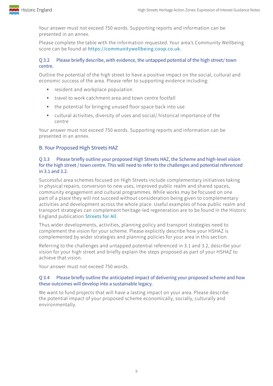

Your answer must not exceed 750 words. Supporting reports and information can be presented in an annex.

Please complete the table with the information requested. Your area's Community Wellbeing score can be found at [https://communitywellbeing.coop.co.uk.](https://communitywellbeing.coop.co.uk)

#### Q 3.2 Please briefly describe, with evidence, the untapped potential of the high street/ town centre.

Outline the potential of the high street to have a positive impact on the social, cultural and economic success of the area. Please refer to supporting evidence including:

- resident and workplace population
- travel to work catchment area and town centre footfall
- the potential for bringing unused floor space back into use
- cultural activities, diversity of uses and social/ historical importance of the centre

Your answer must not exceed 750 words. Supporting reports and information can be presented in an annex.

#### B. Your Proposed High Streets HAZ

#### Q 3.3 Please briefly outline your proposed High Streets HAZ, the Scheme and high-level vision for the high street / town centre. This will need to refer to the challenges and potential referenced in 3.1 and 3.2.

Successful area schemes focused on High Streets include complementary initiatives taking in physical repairs, conversion to new uses, improved public realm and shared spaces, community engagement and cultural programmes. While works may be focused on one part of a place they will not succeed without consideration being given to complementary activities and development across the whole place. Useful examples of how public realm and transport strategies can complement heritage-led regeneration are to be found in the Historic England publication [Streets for All](https://historicengland.org.uk/images-books/publications/streets-for-all/heag149-sfa-national/).

Thus wider developments, activities, planning policy and transport strategies need to complement the vision for your scheme. Please explicitly describe how your HSHAZ is complemented by wider strategies and planning policies for your area in this section.

Referring to the challenges and untapped potential referenced in 3.1 and 3.2, describe your vision for your high street and briefly explain the steps proposed as part of your HSHAZ to achieve that vision.

Your answer must not exceed 750 words.

#### Q 3.4 Please briefly outline the anticipated impact of delivering your proposed scheme and how these outcomes will develop into a sustainable legacy.

We want to fund projects that will have a lasting impact on your area. Please describe the potential impact of your proposed scheme economically, socially, culturally and environmentally.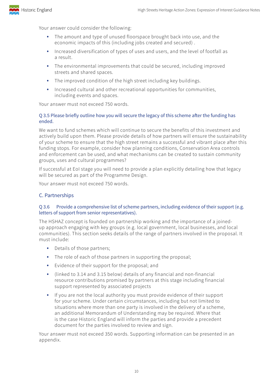

Your answer could consider the following:

- The amount and type of unused floorspace brought back into use, and the economic impacts of this (including jobs created and secured) .
- Increased diversification of types of uses and users, and the level of footfall as a result.
- The environmental improvements that could be secured, including improved streets and shared spaces.
- The improved condition of the high street including key buildings.
- Increased cultural and other recreational opportunities for communities, including events and spaces.

Your answer must not exceed 750 words.

#### Q 3.5 Please briefly outline how you will secure the legacy of this scheme after the funding has ended.

We want to fund schemes which will continue to secure the benefits of this investment and actively build upon them. Please provide details of how partners will ensure the sustainability of your scheme to ensure that the high street remains a successful and vibrant place after this funding stops. For example, consider how planning conditions, Conservation Area controls and enforcement can be used, and what mechanisms can be created to sustain community groups, uses and cultural programmes?

If successful at EoI stage you will need to provide a plan explicitly detailing how that legacy will be secured as part of the Programme Design.

Your answer must not exceed 750 words.

#### C. Partnerships

#### Q 3.6 Provide a comprehensive list of scheme partners, including evidence of their support (e.g. letters of support from senior representatives).

The HSHAZ concept is founded on partnership working and the importance of a joinedup approach engaging with key groups (e.g. local government, local businesses, and local communities). This section seeks details of the range of partners involved in the proposal. It must include:

- Details of those partners;
- The role of each of those partners in supporting the proposal;
- Evidence of their support for the proposal; and
- (linked to 3.14 and 3.15 below) details of any financial and non-financial resource contributions promised by partners at this stage including financial support represented by associated projects
- If you are not the local authority you must provide evidence of their support for your scheme. Under certain circumstances, including but not limited to situations where more than one party is involved in the delivery of a scheme, an additional Memorandum of Understanding may be required. Where that is the case Historic England will inform the parties and provide a precedent document for the parties involved to review and sign.

Your answer must not exceed 350 words. Supporting information can be presented in an appendix.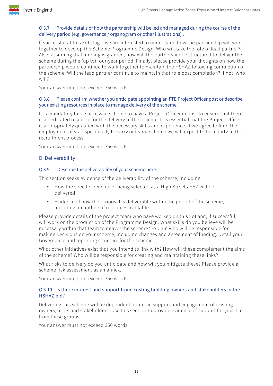

#### Q 3.7 Provide details of how the partnership will be led and managed during the course of the delivery period (e.g. governance / organogram or other illustrations) .

If successful at this EoI stage, we are interested to understand how the partnership will work together to develop the Scheme Programme Design. Who will take the role of lead partner? Also, assuming that funding is granted, how will the partnership be structured to deliver the scheme during the (up to) four-year period. Finally, please provide your thoughts on how the partnership would continue to work together to maintain the HSHAZ following completion of the scheme. Will the lead partner continue to maintain that role post completion? If not, who will?

Your answer must not exceed 750 words.

#### Q 3.8 Please confirm whether you anticipate appointing an FTE Project Officer post or describe your existing resources in place to manage delivery of the scheme.

It is mandatory for a successful scheme to have a Project Officer in post to ensure that there is a dedicated resource for the delivery of the scheme. It is essential that the Project Officer is appropriately qualified with the necessary skills and experience. If we agree to fund the employment of staff specifically to carry out your scheme we will expect to be a party to the recruitment process.

Your answer must not exceed 350 words.

### D. Deliverability

#### Q 3.9 Describe the deliverability of your scheme here.

This section seeks evidence of the deliverability of the scheme, including:

- How the specific benefits of being selected as a High Streets HAZ will be delivered.
- Evidence of how the proposal is deliverable within the period of the scheme, including an outline of resources available.

Please provide details of the project team who have worked on this EoI and, if successful, will work on the production of the Programme Design. What skills do you believe will be necessary within that team to deliver the scheme? Explain who will be responsible for making decisions on your scheme, including changes and agreement of funding. Detail your Governance and reporting structure for the scheme.

What other initiatives exist that you intend to link with? How will these complement the aims of the scheme? Who will be responsible for creating and maintaining these links?

What risks to delivery do you anticipate and how will you mitigate these? Please provide a scheme risk assessment as an annex.

Your answer must not exceed 750 words.

#### Q 3.10 Is there interest and support from existing building owners and stakeholders in the HSHAZ bid?

Delivering this scheme will be dependent upon the support and engagement of existing owners, users and stakeholders. Use this section to provide evidence of support for your bid from these groups.

Your answer must not exceed 350 words.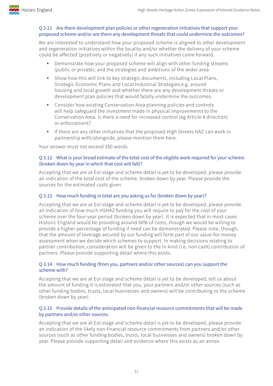

#### Q 3.11 Are there development plan policies or other regeneration initiatives that support your proposed scheme and/or are there any development threats that could undermine the outcomes?

We are interested to understand how your proposed scheme is aligned to other development and regeneration initiatives within the locality and/or whether the delivery of your scheme could be affected (positively or negatively) if any such initiatives come forward.

- Demonstrate how your proposed scheme will align with other funding streams (public or private); and the strategies and ambitions of the wider area.
- Show how this will link to key strategic documents, including Local Plans, Strategic Economic Plans and Local Industrial Strategies e.g. around housing and local growth and whether there are any development threats or development plan policies that would fatally undermine the outcomes.
- Consider how existing Conservation Area planning policies and controls will help safeguard the investment made in physical improvements to the Conservation Area. Is there a need for increased control (eg Article 4 direction) or enforcement?
- If there are any other initiatives that the proposed High Streets HAZ can work in partnership with/alongside, please mention them here.

Your answer must not exceed 350 words.

#### Q 3.12 What is your broad estimate of the total cost of the eligible work required for your scheme (broken down by year in which that cost will fall)?

Accepting that we are at EoI stage and scheme detail is yet to be developed, please provide an indication of the total cost of the scheme, broken down by year. Please provide the sources for the estimated costs given.

#### Q 3.13 How much funding in total are you asking us for (broken down by year)?

Accepting that we are at EoI stage and scheme detail is yet to be developed, please provide an indication of how much HSHAZ funding you will require to pay for the cost of your scheme over the four-year period (broken down by year). It is expected that in most cases Historic England would be providing around 50% of costs, though we would be willing to provide a higher percentage of funding if need can be demonstrated. Please note, though, that the amount of leverage secured by our funding will form part of our value-for-money assessment when we decide which schemes to support. In making decisions relating to partner contribution, consideration will be given to the in-kind (i.e. non cash) contribution of partners. Please provide supporting detail where this exists.

#### Q 3.14 How much funding (from you, partners and/or other sources) can you support the scheme with?

Accepting that we are at EoI stage and scheme detail is yet to be developed, tell us about the amount of funding it is estimated that you, your partners and/or other sources (such as other funding bodies, trusts, local businesses and owners) will be contributing to the scheme (broken down by year).

#### Q 3.15 Provide details of the anticipated non-financial resource commitments that will be made by partners and/or other sources.

Accepting that we are at EoI stage and scheme detail is yet to be developed, please provide an indication of the likely non-financial resource commitments from partners and/or other sources (such as other funding bodies, trusts, local businesses and owners) broken down by year. Please provide supporting detail and evidence where this exists as an annex.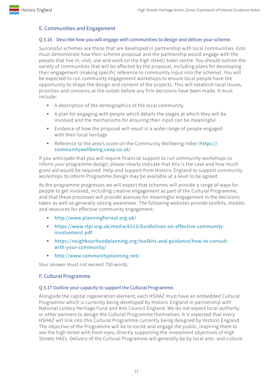#### E. Communities and Engagement

#### Q 3.16 Describe how you will engage with communities to design and deliver your scheme.

Successful schemes are those that are developed in partnership with local communities. EoIs must demonstrate how their scheme proposal and the partnership would engage with the people that live in, visit, use and work on the high street/ town centre. You should outline the variety of communities that will be affected by the proposal, including plans for developing their engagement (making specific reference to community input into the scheme). You will be expected to run community engagement workshops to ensure local people have the opportunity to shape the design and content of the projects. This will establish local issues, priorities and concerns at the outset before any firm decisions have been made. It must include:

- A description of the demographics of the local community
- A plan for engaging with people which details the stages at which they will be involved and the mechanisms for ensuring their input can be meaningful
- Evidence of how the proposal will result in a wider range of people engaged with their local heritage
- Reference to the area's score on the Community Wellbeing Index ([https://](https://communitywellbeing.coop.co.uk) [communitywellbeing.coop.co.uk](https://communitywellbeing.coop.co.uk))

If you anticipate that you will require financial support to run community workshops to inform your programme design, please clearly indicate that this is the case and how much grant aid would be required. Help and support from Historic England to support community workshops to inform Programme Design may be available at a level to be agreed.

As the programme progresses we will expect that schemes will provide a range of ways for people to get involved, including creative engagement as part of the Cultural Programme, and that these processes will provide avenues for meaningful engagement in the decisions taken as well as generally raising awareness. The following websites provide toolkits, models and resources for effective community engagement:

- [http://www.planningforreal.org.uk/](http://www.planningforreal.org.uk/what-we-do/our-offer/)
- [https://www.rtpi.org.uk/media/6313/Guidlelines-on-effective-community](https://www.rtpi.org.uk/media/6313/Guidlelines-on-effective-community-involvement.pdf)[involvement.pdf](https://www.rtpi.org.uk/media/6313/Guidlelines-on-effective-community-involvement.pdf)
- [https://neighbourhoodplanning.org/toolkits-and-guidance/how-to-consult](https://neighbourhoodplanning.org/toolkits-and-guidance/how-to-consult-with-your-community/)[with-your-community/](https://neighbourhoodplanning.org/toolkits-and-guidance/how-to-consult-with-your-community/)
- <http://www.communityplanning.net/>

Your answer must not exceed 750 words.

#### F. Cultural Programme

#### Q 3.17 Outline your capacity to support the Cultural Programme.

Alongside the capital regeneration element, each HSHAZ must have an embedded Cultural Programme which is currently being developed by Historic England in partnership with National Lottery Heritage Fund and Arts Council England. We do not expect local authority or other partners to design the Cultural Programme themselves. It is expected that every HSHAZ will link into this Cultural Programme currently being designed by Historic England. The objective of the Programme will be to excite and engage the public, inspiring them to see the high street with fresh eyes, directly supporting the investment objectives of High Streets HAZs. Delivery of the Cultural Programme will generally be by local arts- and culture-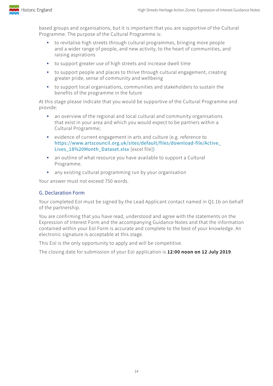

based groups and organisations, but it is important that you are supportive of the Cultural Programme. The purpose of the Cultural Programme is:

- to revitalise high streets through cultural programmes, bringing more people and a wider range of people, and new activity, to the heart of communities, and raising aspirations
- to support greater use of high streets and increase dwell time
- to support people and places to thrive through cultural engagement, creating greater pride, sense of community and wellbeing
- to support local organisations, communities and stakeholders to sustain the benefits of the programme in the future

At this stage please indicate that you would be supportive of the Cultural Programme and provide:

- an overview of the regional and local cultural and community organisations that exist in your area and which you would expect to be partners within a Cultural Programme;
- evidence of current engagement in arts and culture (e.g. reference to [https://www.artscouncil.org.uk/sites/default/files/download-file/Active\\_](https://www.artscouncil.org.uk/sites/default/files/download-file/Active_Lives_18 Month_Dataset.xlsx) [Lives\\_18%20Month\\_Dataset.xlsx](https://www.artscouncil.org.uk/sites/default/files/download-file/Active_Lives_18 Month_Dataset.xlsx) [excel file])
- an outline of what resource you have available to support a Cultural Programme.
- any existing cultural programming run by your organisation

Your answer must not exceed 750 words.

#### G. Declaration Form

Your completed EoI must be signed by the Lead Applicant contact named in Q1.1b on behalf of the partnership.

You are confirming that you have read, understood and agree with the statements on the Expression of Interest Form and the accompanying Guidance Notes and that the information contained within your EoI Form is accurate and complete to the best of your knowledge. An electronic signature is acceptable at this stage.

This EoI is the only opportunity to apply and will be competitive.

The closing date for submission of your EoI application is **12:00 noon on 12 July 2019**.